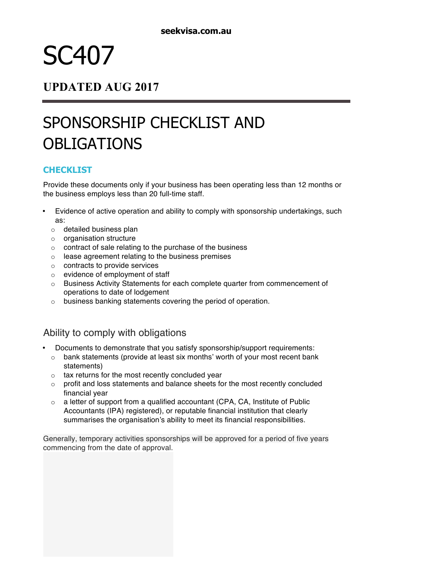# SC407

### **UPDATED AUG 2017**

# SPONSORSHIP CHECKLIST AND **OBLIGATIONS**

#### **CHECKLIST**

Provide these documents only if your business has been operating less than 12 months or the business employs less than 20 full-time staff.

- Evidence of active operation and ability to comply with sponsorship undertakings, such as:
	- o detailed business plan
	- o organisation structure
	- o contract of sale relating to the purchase of the business
	- o lease agreement relating to the business premises
	- $\circ$  contracts to provide services
	- o evidence of employment of staff
	- $\circ$  Business Activity Statements for each complete quarter from commencement of operations to date of lodgement
	- o business banking statements covering the period of operation.

### Ability to comply with obligations

- Documents to demonstrate that you satisfy sponsorship/support requirements:
	- $\circ$  bank statements (provide at least six months' worth of your most recent bank statements)
	- $\circ$  tax returns for the most recently concluded year
	- $\circ$  profit and loss statements and balance sheets for the most recently concluded financial year
	- o a letter of support from a qualified accountant (CPA, CA, Institute of Public Accountants (IPA) registered), or reputable financial institution that clearly summarises the organisation's ability to meet its financial responsibilities.

Generally, temporary activities sponsorships will be approved for a period of five years commencing from the date of approval.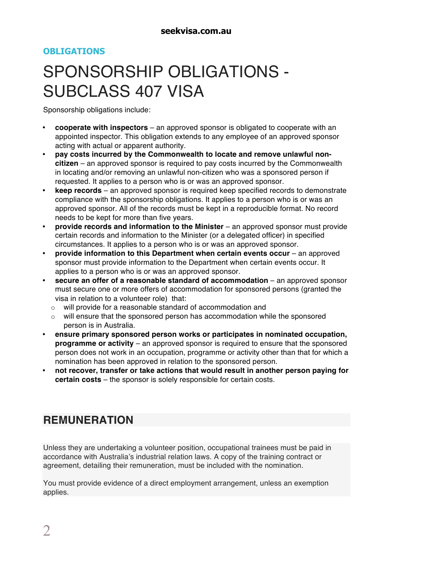#### **OBLIGATIONS**

# SPONSORSHIP OBLIGATIONS - SUBCLASS 407 VISA

Sponsorship obligations include:

- **cooperate with inspectors** an approved sponsor is obligated to cooperate with an appointed inspector. This obligation extends to any employee of an approved sponsor acting with actual or apparent authority.
- **pay costs incurred by the Commonwealth to locate and remove unlawful noncitizen** – an approved sponsor is required to pay costs incurred by the Commonwealth in locating and/or removing an unlawful non-citizen who was a sponsored person if requested. It applies to a person who is or was an approved sponsor.
- **keep records** an approved sponsor is required keep specified records to demonstrate compliance with the sponsorship obligations. It applies to a person who is or was an approved sponsor. All of the records must be kept in a reproducible format. No record needs to be kept for more than five years.
- **provide records and information to the Minister** an approved sponsor must provide certain records and information to the Minister (or a delegated officer) in specified circumstances. It applies to a person who is or was an approved sponsor.
- **provide information to this Department when certain events occur** an approved sponsor must provide information to the Department when certain events occur. It applies to a person who is or was an approved sponsor.
- **secure an offer of a reasonable standard of accommodation** an approved sponsor must secure one or more offers of accommodation for sponsored persons (granted the visa in relation to a volunteer role) that:
	- o will provide for a reasonable standard of accommodation and
	- $\circ$  will ensure that the sponsored person has accommodation while the sponsored person is in Australia.
- **ensure primary sponsored person works or participates in nominated occupation, programme or activity** – an approved sponsor is required to ensure that the sponsored person does not work in an occupation, programme or activity other than that for which a nomination has been approved in relation to the sponsored person.
- **not recover, transfer or take actions that would result in another person paying for certain costs** – the sponsor is solely responsible for certain costs.

## **REMUNERATION**

Unless they are undertaking a volunteer position, occupational trainees must be paid in accordance with Australia's industrial relation laws. A copy of the training contract or agreement, detailing their remuneration, must be included with the nomination.

You must provide evidence of a direct employment arrangement, unless an exemption applies.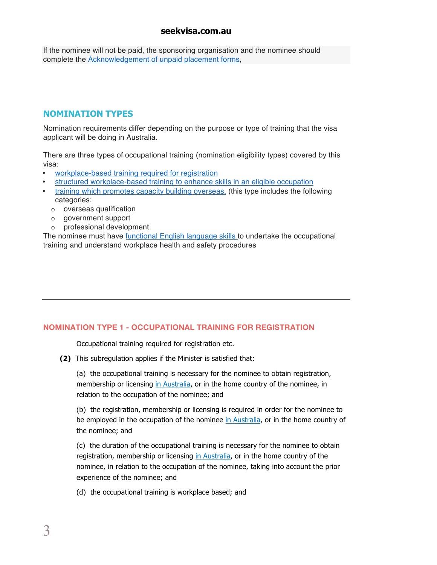If the nominee will not be paid, the sponsoring organisation and the nominee should complete the Acknowledgement of unpaid placement forms,

#### **NOMINATION TYPES**

Nomination requirements differ depending on the purpose or type of training that the visa applicant will be doing in Australia.

There are three types of occupational training (nomination eligibility types) covered by this visa:

- workplace-based training required for registration
- structured workplace-based training to enhance skills in an eligible occupation
- training which promotes capacity building overseas. (this type includes the following categories:
	- o overseas qualification
	- o government support
	- o professional development.

The nominee must have functional English language skills to undertake the occupational training and understand workplace health and safety procedures

#### **NOMINATION TYPE 1 - OCCUPATIONAL TRAINING FOR REGISTRATION**

Occupational training required for registration etc.

**(2)** This subregulation applies if the Minister is satisfied that:

(a) the occupational training is necessary for the nominee to obtain registration, membership or licensing in Australia, or in the home country of the nominee, in relation to the occupation of the nominee; and

(b) the registration, membership or licensing is required in order for the nominee to be employed in the occupation of the nominee in Australia, or in the home country of the nominee; and

(c) the duration of the occupational training is necessary for the nominee to obtain registration, membership or licensing in Australia, or in the home country of the nominee, in relation to the occupation of the nominee, taking into account the prior experience of the nominee; and

(d) the occupational training is workplace based; and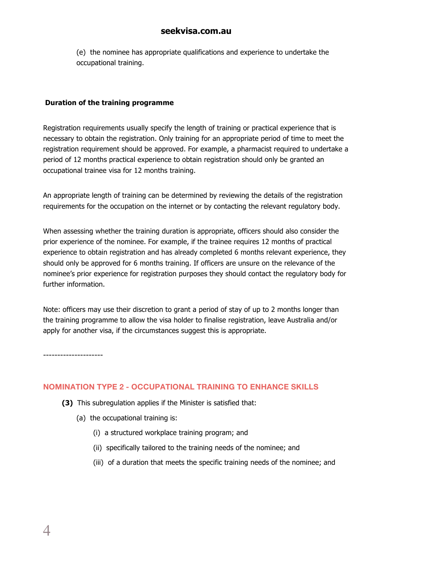(e) the nominee has appropriate qualifications and experience to undertake the occupational training.

#### **Duration of the training programme**

Registration requirements usually specify the length of training or practical experience that is necessary to obtain the registration. Only training for an appropriate period of time to meet the registration requirement should be approved. For example, a pharmacist required to undertake a period of 12 months practical experience to obtain registration should only be granted an occupational trainee visa for 12 months training.

An appropriate length of training can be determined by reviewing the details of the registration requirements for the occupation on the internet or by contacting the relevant regulatory body.

When assessing whether the training duration is appropriate, officers should also consider the prior experience of the nominee. For example, if the trainee requires 12 months of practical experience to obtain registration and has already completed 6 months relevant experience, they should only be approved for 6 months training. If officers are unsure on the relevance of the nominee's prior experience for registration purposes they should contact the regulatory body for further information.

Note: officers may use their discretion to grant a period of stay of up to 2 months longer than the training programme to allow the visa holder to finalise registration, leave Australia and/or apply for another visa, if the circumstances suggest this is appropriate.

---------------------

#### **NOMINATION TYPE 2 - OCCUPATIONAL TRAINING TO ENHANCE SKILLS**

- **(3)** This subregulation applies if the Minister is satisfied that:
	- (a) the occupational training is:
		- (i) a structured workplace training program; and
		- (ii) specifically tailored to the training needs of the nominee; and
		- (iii) of a duration that meets the specific training needs of the nominee; and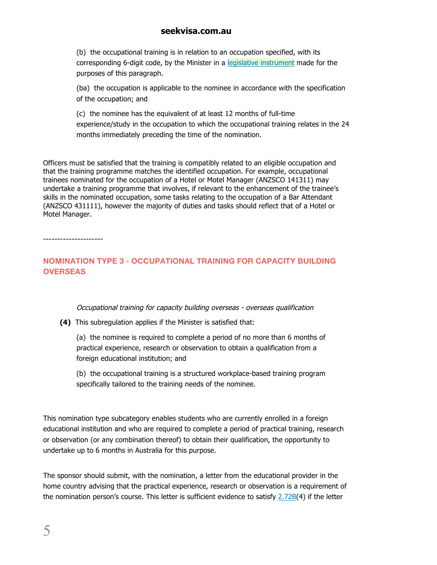(b) the occupational training is in relation to an occupation specified, with its corresponding 6-digit code, by the Minister in a legislative instrument made for the purposes of this paragraph.

(ba) the occupation is applicable to the nominee in accordance with the specification of the occupation; and

(c) the nominee has the equivalent of at least 12 months of full-time experience/study in the occupation to which the occupational training relates in the 24 months immediately preceding the time of the nomination.

Officers must be satisfied that the training is compatibly related to an eligible occupation and that the training programme matches the identified occupation. For example, occupational trainees nominated for the occupation of a Hotel or Motel Manager (ANZSCO 141311) may undertake a training programme that involves, if relevant to the enhancement of the trainee's skills in the nominated occupation, some tasks relating to the occupation of a Bar Attendant (ANZSCO 431111), however the majority of duties and tasks should reflect that of a Hotel or Motel Manager.

---------------------

#### **NOMINATION TYPE 3 - OCCUPATIONAL TRAINING FOR CAPACITY BUILDING OVERSEAS**

#### Occupational training for capacity building overseas - overseas qualification

**(4)** This subregulation applies if the Minister is satisfied that:

(a) the nominee is required to complete a period of no more than 6 months of practical experience, research or observation to obtain a qualification from a foreign educational institution; and

(b) the occupational training is a structured workplace-based training program specifically tailored to the training needs of the nominee.

This nomination type subcategory enables students who are currently enrolled in a foreign educational institution and who are required to complete a period of practical training, research or observation (or any combination thereof) to obtain their qualification, the opportunity to undertake up to 6 months in Australia for this purpose.

The sponsor should submit, with the nomination, a letter from the educational provider in the home country advising that the practical experience, research or observation is a requirement of the nomination person's course. This letter is sufficient evidence to satisfy 2.72B(4) if the letter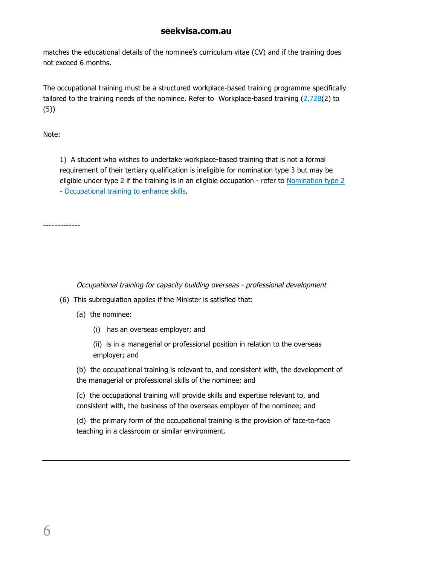matches the educational details of the nominee's curriculum vitae (CV) and if the training does not exceed 6 months.

The occupational training must be a structured workplace-based training programme specifically tailored to the training needs of the nominee. Refer to Workplace-based training (2.72B(2) to (5))

Note:

1) A student who wishes to undertake workplace-based training that is not a formal requirement of their tertiary qualification is ineligible for nomination type 3 but may be eligible under type 2 if the training is in an eligible occupation - refer to Nomination type 2 - Occupational training to enhance skills.

-------------

Occupational training for capacity building overseas - professional development

- (6) This subregulation applies if the Minister is satisfied that:
	- (a) the nominee:
		- (i) has an overseas employer; and
		- (ii) is in a managerial or professional position in relation to the overseas employer; and

(b) the occupational training is relevant to, and consistent with, the development of the managerial or professional skills of the nominee; and

(c) the occupational training will provide skills and expertise relevant to, and consistent with, the business of the overseas employer of the nominee; and

(d) the primary form of the occupational training is the provision of face-to-face teaching in a classroom or similar environment.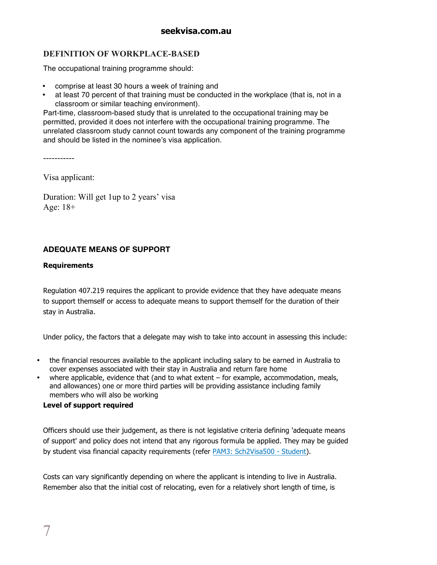#### **DEFINITION OF WORKPLACE-BASED**

The occupational training programme should:

- comprise at least 30 hours a week of training and
- at least 70 percent of that training must be conducted in the workplace (that is, not in a classroom or similar teaching environment).

Part-time, classroom-based study that is unrelated to the occupational training may be permitted, provided it does not interfere with the occupational training programme. The unrelated classroom study cannot count towards any component of the training programme and should be listed in the nominee's visa application.

-----------

Visa applicant:

Duration: Will get 1up to 2 years' visa Age: 18+

#### **ADEQUATE MEANS OF SUPPORT**

#### **Requirements**

Regulation 407.219 requires the applicant to provide evidence that they have adequate means to support themself or access to adequate means to support themself for the duration of their stay in Australia.

Under policy, the factors that a delegate may wish to take into account in assessing this include:

- the financial resources available to the applicant including salary to be earned in Australia to cover expenses associated with their stay in Australia and return fare home
- where applicable, evidence that (and to what extent for example, accommodation, meals, and allowances) one or more third parties will be providing assistance including family members who will also be working

#### **Level of support required**

Officers should use their judgement, as there is not legislative criteria defining 'adequate means of support' and policy does not intend that any rigorous formula be applied. They may be guided by student visa financial capacity requirements (refer PAM3: Sch2Visa500 - Student).

Costs can vary significantly depending on where the applicant is intending to live in Australia. Remember also that the initial cost of relocating, even for a relatively short length of time, is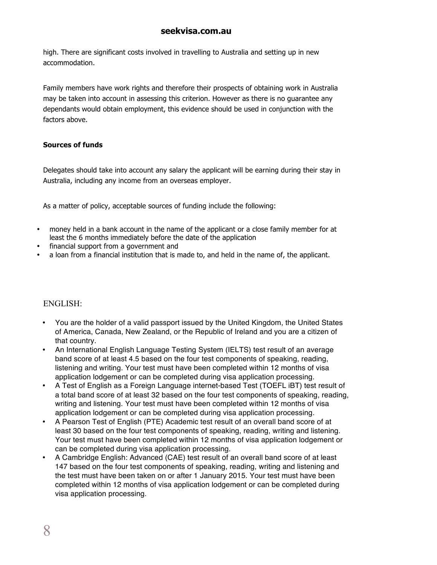high. There are significant costs involved in travelling to Australia and setting up in new accommodation.

Family members have work rights and therefore their prospects of obtaining work in Australia may be taken into account in assessing this criterion. However as there is no guarantee any dependants would obtain employment, this evidence should be used in conjunction with the factors above.

#### **Sources of funds**

Delegates should take into account any salary the applicant will be earning during their stay in Australia, including any income from an overseas employer.

As a matter of policy, acceptable sources of funding include the following:

- money held in a bank account in the name of the applicant or a close family member for at least the 6 months immediately before the date of the application
- financial support from a government and
- a loan from a financial institution that is made to, and held in the name of, the applicant.

#### ENGLISH:

- You are the holder of a valid passport issued by the United Kingdom, the United States of America, Canada, New Zealand, or the Republic of Ireland and you are a citizen of that country.
- An International English Language Testing System (IELTS) test result of an average band score of at least 4.5 based on the four test components of speaking, reading, listening and writing. Your test must have been completed within 12 months of visa application lodgement or can be completed during visa application processing.
- A Test of English as a Foreign Language internet-based Test (TOEFL iBT) test result of a total band score of at least 32 based on the four test components of speaking, reading, writing and listening. Your test must have been completed within 12 months of visa application lodgement or can be completed during visa application processing.
- A Pearson Test of English (PTE) Academic test result of an overall band score of at least 30 based on the four test components of speaking, reading, writing and listening. Your test must have been completed within 12 months of visa application lodgement or can be completed during visa application processing.
- A Cambridge English: Advanced (CAE) test result of an overall band score of at least 147 based on the four test components of speaking, reading, writing and listening and the test must have been taken on or after 1 January 2015. Your test must have been completed within 12 months of visa application lodgement or can be completed during visa application processing.